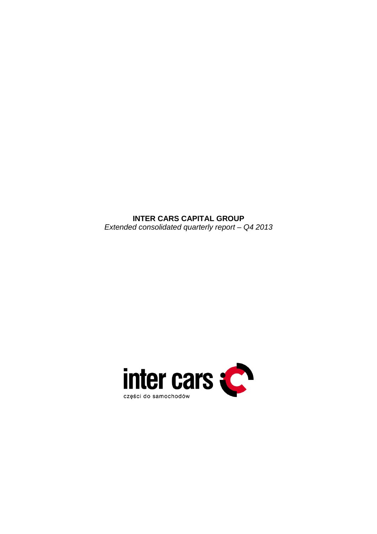**INTER CARS CAPITAL GROUP**  Extended consolidated quarterly report – Q4 2013

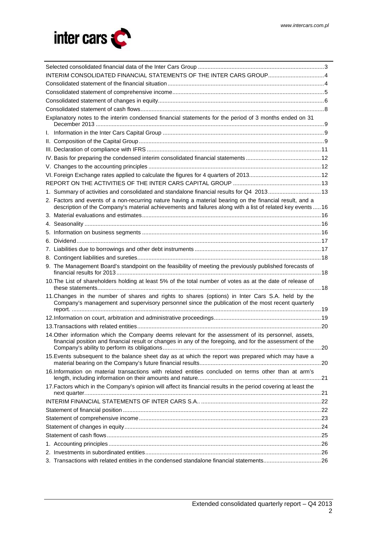

| INTERIM CONSOLIDATED FINANCIAL STATEMENTS OF THE INTER CARS GROUP4                                                                                                                                                      |  |  |  |  |  |  |
|-------------------------------------------------------------------------------------------------------------------------------------------------------------------------------------------------------------------------|--|--|--|--|--|--|
|                                                                                                                                                                                                                         |  |  |  |  |  |  |
|                                                                                                                                                                                                                         |  |  |  |  |  |  |
|                                                                                                                                                                                                                         |  |  |  |  |  |  |
|                                                                                                                                                                                                                         |  |  |  |  |  |  |
| Explanatory notes to the interim condensed financial statements for the period of 3 months ended on 31                                                                                                                  |  |  |  |  |  |  |
|                                                                                                                                                                                                                         |  |  |  |  |  |  |
|                                                                                                                                                                                                                         |  |  |  |  |  |  |
|                                                                                                                                                                                                                         |  |  |  |  |  |  |
|                                                                                                                                                                                                                         |  |  |  |  |  |  |
|                                                                                                                                                                                                                         |  |  |  |  |  |  |
|                                                                                                                                                                                                                         |  |  |  |  |  |  |
|                                                                                                                                                                                                                         |  |  |  |  |  |  |
| 1. Summary of activities and consolidated and standalone financial results for Q4 201313                                                                                                                                |  |  |  |  |  |  |
| 2. Factors and events of a non-recurring nature having a material bearing on the financial result, and a<br>description of the Company's material achievements and failures along with a list of related key events  16 |  |  |  |  |  |  |
|                                                                                                                                                                                                                         |  |  |  |  |  |  |
|                                                                                                                                                                                                                         |  |  |  |  |  |  |
|                                                                                                                                                                                                                         |  |  |  |  |  |  |
|                                                                                                                                                                                                                         |  |  |  |  |  |  |
|                                                                                                                                                                                                                         |  |  |  |  |  |  |
|                                                                                                                                                                                                                         |  |  |  |  |  |  |
| 9. The Management Board's standpoint on the feasibility of meeting the previously published forecasts of                                                                                                                |  |  |  |  |  |  |
| 10. The List of shareholders holding at least 5% of the total number of votes as at the date of release of                                                                                                              |  |  |  |  |  |  |
| 11. Changes in the number of shares and rights to shares (options) in Inter Cars S.A. held by the<br>Company's management and supervisory personnel since the publication of the most recent quarterly                  |  |  |  |  |  |  |
|                                                                                                                                                                                                                         |  |  |  |  |  |  |
|                                                                                                                                                                                                                         |  |  |  |  |  |  |
| 14. Other information which the Company deems relevant for the assessment of its personnel, assets,<br>financial position and financial result or changes in any of the foregoing, and for the assessment of the        |  |  |  |  |  |  |
| 15. Events subsequent to the balance sheet day as at which the report was prepared which may have a                                                                                                                     |  |  |  |  |  |  |
| 16.Information on material transactions with related entities concluded on terms other than at arm's                                                                                                                    |  |  |  |  |  |  |
| 17. Factors which in the Company's opinion will affect its financial results in the period covering at least the                                                                                                        |  |  |  |  |  |  |
|                                                                                                                                                                                                                         |  |  |  |  |  |  |
|                                                                                                                                                                                                                         |  |  |  |  |  |  |
|                                                                                                                                                                                                                         |  |  |  |  |  |  |
|                                                                                                                                                                                                                         |  |  |  |  |  |  |
|                                                                                                                                                                                                                         |  |  |  |  |  |  |
|                                                                                                                                                                                                                         |  |  |  |  |  |  |
|                                                                                                                                                                                                                         |  |  |  |  |  |  |
| 3. Transactions with related entities in the condensed standalone financial statements26                                                                                                                                |  |  |  |  |  |  |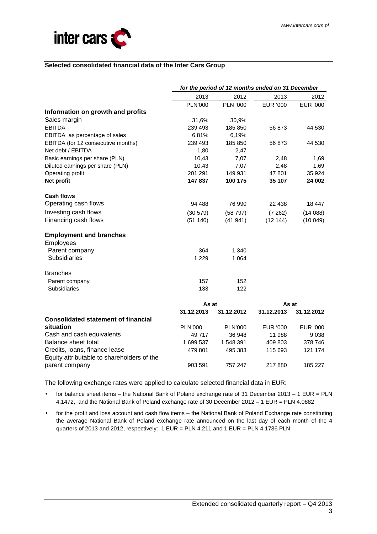

### **Selected consolidated financial data of the Inter Cars Group**

|                                            |                | for the period of 12 months ended on 31 December |                 |            |
|--------------------------------------------|----------------|--------------------------------------------------|-----------------|------------|
|                                            | 2013           | 2012                                             | 2013            | 2012       |
|                                            | <b>PLN'000</b> | <b>PLN '000</b>                                  | <b>EUR '000</b> | EUR '000   |
| Information on growth and profits          |                |                                                  |                 |            |
| Sales margin                               | 31,6%          | 30,9%                                            |                 |            |
| <b>EBITDA</b>                              | 239 493        | 185 850                                          | 56 873          | 44 530     |
| EBITDA as percentage of sales              | 6,81%          | 6,19%                                            |                 |            |
| EBITDA (for 12 consecutive months)         | 239 493        | 185 850                                          | 56 873          | 44 530     |
| Net debt / EBITDA                          | 1,80           | 2,47                                             |                 |            |
| Basic earnings per share (PLN)             | 10,43          | 7,07                                             | 2,48            | 1,69       |
| Diluted earnings per share (PLN)           | 10,43          | 7,07                                             | 2,48            | 1,69       |
| Operating profit                           | 201 291        | 149 931                                          | 47801           | 35 924     |
| Net profit                                 | 147837         | 100 175                                          | 35 107          | 24 002     |
| <b>Cash flows</b>                          |                |                                                  |                 |            |
| Operating cash flows                       | 94 488         | 76 990                                           | 22 438          | 18 447     |
| Investing cash flows                       | (30 579)       | (58 797)                                         | (7262)          | (14088)    |
| Financing cash flows                       | (51140)        | (41941)                                          | (12144)         | (10049)    |
| <b>Employment and branches</b>             |                |                                                  |                 |            |
| Employees                                  |                |                                                  |                 |            |
| Parent company                             | 364            | 1 3 4 0                                          |                 |            |
| <b>Subsidiaries</b>                        | 1 2 2 9        | 1 0 6 4                                          |                 |            |
| <b>Branches</b>                            |                |                                                  |                 |            |
| Parent company                             | 157            | 152                                              |                 |            |
| <b>Subsidiaries</b>                        | 133            | 122                                              |                 |            |
|                                            | As at          |                                                  | As at           |            |
|                                            | 31.12.2013     | 31.12.2012                                       | 31.12.2013      | 31.12.2012 |
| <b>Consolidated statement of financial</b> |                |                                                  |                 |            |
| situation                                  | <b>PLN'000</b> | <b>PLN'000</b>                                   | EUR '000        | EUR '000   |
| Cash and cash equivalents                  | 49 717         | 36 948                                           | 11 988          | 9038       |
| Balance sheet total                        | 1 699 537      | 1 548 391                                        | 409 803         | 378 746    |
| Credits, Ioans, finance lease              | 479 801        | 495 383                                          | 115 693         | 121 174    |
| Equity attributable to shareholders of the |                |                                                  |                 |            |
| parent company                             | 903 591        | 757 247                                          | 217880          | 185 227    |

The following exchange rates were applied to calculate selected financial data in EUR:

- for balance sheet items the National Bank of Poland exchange rate of 31 December 2013 1 EUR = PLN 4.1472, and the National Bank of Poland exchange rate of 30 December 2012 – 1 EUR = PLN 4.0882
- for the profit and loss account and cash flow items the National Bank of Poland Exchange rate constituting the average National Bank of Poland exchange rate announced on the last day of each month of the 4 quarters of 2013 and 2012, respectively: 1 EUR = PLN 4.211 and 1 EUR = PLN 4.1736 PLN.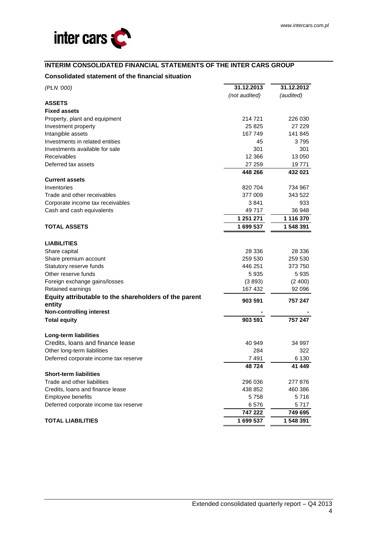

## **INTERIM CONSOLIDATED FINANCIAL STATEMENTS OF THE INTER CARS GROUP**

## **Consolidated statement of the financial situation**

| (PLN '000)                                            | 31.12.2013    | 31.12.2012 |  |
|-------------------------------------------------------|---------------|------------|--|
|                                                       | (not audited) | (audited)  |  |
| <b>ASSETS</b>                                         |               |            |  |
| <b>Fixed assets</b>                                   |               |            |  |
| Property, plant and equipment                         | 214 721       | 226 030    |  |
| Investment property                                   | 25 825        | 27 229     |  |
| Intangible assets                                     | 167 749       | 141 845    |  |
| Investments in related entities                       | 45            | 3795       |  |
| Investments available for sale                        | 301           | 301        |  |
| <b>Receivables</b>                                    | 12 3 6 6      | 13 050     |  |
| Deferred tax assets                                   | 27 259        | 19 771     |  |
|                                                       | 448 266       | 432 021    |  |
| <b>Current assets</b>                                 |               |            |  |
| Inventories                                           | 820 704       | 734 967    |  |
| Trade and other receivables                           | 377 009       | 343 522    |  |
| Corporate income tax receivables                      | 3841          | 933        |  |
| Cash and cash equivalents                             | 49 717        | 36 948     |  |
|                                                       | 1 251 271     | 1 116 370  |  |
| <b>TOTAL ASSETS</b>                                   | 1 699 537     | 1 548 391  |  |
| <b>LIABILITIES</b>                                    |               |            |  |
| Share capital                                         | 28 336        | 28 336     |  |
| Share premium account                                 | 259 530       | 259 530    |  |
| Statutory reserve funds                               | 446 251       | 373 750    |  |
| Other reserve funds                                   | 5935          | 5935       |  |
| Foreign exchange gains/losses                         | (3893)        | (2400)     |  |
| Retained earnings                                     | 167 432       | 92 096     |  |
| Equity attributable to the shareholders of the parent | 903 591       | 757 247    |  |
| entity<br><b>Non-controlling interest</b>             |               |            |  |
| <b>Total equity</b>                                   | 903 591       | 757 247    |  |
| Long-term liabilities                                 |               |            |  |
| Credits, loans and finance lease                      | 40 949        | 34 997     |  |
| Other long-term liabilities                           | 284           | 322        |  |
| Deferred corporate income tax reserve                 | 7491          | 6 1 3 0    |  |
|                                                       | 48724         | 41 449     |  |
| <b>Short-term liabilities</b>                         |               |            |  |
| Trade and other liabilities                           | 296 036       | 277 876    |  |
| Credits, loans and finance lease                      | 438 852       | 460 386    |  |
| Employee benefits                                     | 5 758         | 5716       |  |
| Deferred corporate income tax reserve                 | 6576          | 5 717      |  |
|                                                       | 747 222       | 749 695    |  |
| <b>TOTAL LIABILITIES</b>                              | 1 699 537     | 1 548 391  |  |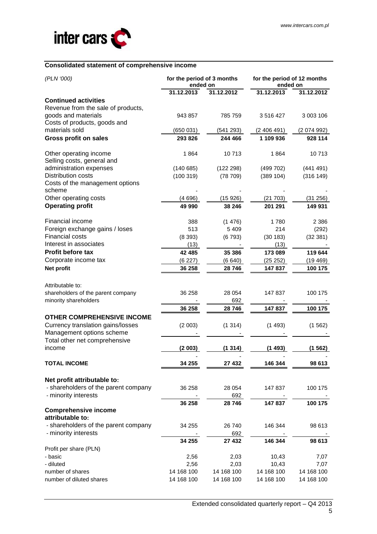

## **Consolidated statement of comprehensive income**

| (PLN '000)                                     | for the period of 3 months<br>ended on |            | for the period of 12 months<br>ended on |             |  |
|------------------------------------------------|----------------------------------------|------------|-----------------------------------------|-------------|--|
|                                                | 31.12.2013                             | 31.12.2012 | 31.12.2013                              | 31.12.2012  |  |
| <b>Continued activities</b>                    |                                        |            |                                         |             |  |
| Revenue from the sale of products,             |                                        |            |                                         |             |  |
| goods and materials                            | 943 857                                | 785 759    | 3516427                                 | 3 003 106   |  |
| Costs of products, goods and<br>materials sold |                                        |            |                                         |             |  |
|                                                | (650031)                               | (541 293)  | (2406491)                               | (2 074 992) |  |
| <b>Gross profit on sales</b>                   | 293 826                                | 244 466    | 1 109 936                               | 928 114     |  |
| Other operating income                         | 1864                                   | 10713      | 1864                                    | 10713       |  |
| Selling costs, general and                     |                                        |            |                                         |             |  |
| administration expenses                        | (140685)                               | (122 298)  | (499702)                                | (441491)    |  |
| Distribution costs                             | (100319)                               | (78709)    | (389 104)                               | (316149)    |  |
| Costs of the management options                |                                        |            |                                         |             |  |
| scheme                                         |                                        |            |                                         |             |  |
| Other operating costs                          | (4696)                                 | (15926)    | (21703)                                 | (31 256)    |  |
| <b>Operating profit</b>                        | 49 990                                 | 38 246     | 201 291                                 | 149 931     |  |
| <b>Financial income</b>                        | 388                                    | (1476)     | 1780                                    | 2 3 8 6     |  |
| Foreign exchange gains / loses                 | 513                                    | 5 4 0 9    | 214                                     | (292)       |  |
| <b>Financial costs</b>                         | (8393)                                 | (6793)     | (30 183)                                | (32381)     |  |
| Interest in associates                         | (13)                                   |            | (13)                                    |             |  |
| <b>Profit before tax</b>                       | 42 485                                 | 35 386     | 173 089                                 | 119 644     |  |
| Corporate income tax                           | (6227)                                 | (6640)     | (25 252)                                | (19469)     |  |
| Net profit                                     | 36 258                                 | 28 746     | 147837                                  | 100 175     |  |
|                                                |                                        |            |                                         |             |  |
| Attributable to:                               |                                        |            |                                         |             |  |
| shareholders of the parent company             | 36 258                                 | 28 0 54    | 147837                                  | 100 175     |  |
| minority shareholders                          |                                        | 692        |                                         |             |  |
|                                                | 36 258                                 | 28746      | 147837                                  | 100 175     |  |
| <b>OTHER COMPREHENSIVE INCOME</b>              |                                        |            |                                         |             |  |
| Currency translation gains/losses              | (2003)                                 | (1314)     | (1493)                                  | (1562)      |  |
| Management options scheme                      |                                        |            |                                         |             |  |
| Total other net comprehensive                  |                                        |            |                                         |             |  |
| income                                         | (2003)                                 | (1314)     | (1493)                                  | (1562)      |  |
| <b>TOTAL INCOME</b>                            | 34 255                                 | 27 432     | 146 344                                 | 98 613      |  |
|                                                |                                        |            |                                         |             |  |
| Net profit attributable to:                    |                                        |            |                                         |             |  |
| - shareholders of the parent company           | 36 258                                 | 28 0 54    | 147 837                                 | 100 175     |  |
| - minority interests                           |                                        | 692        |                                         |             |  |
|                                                | 36 258                                 | 28746      | 147837                                  | 100 175     |  |
| <b>Comprehensive income</b>                    |                                        |            |                                         |             |  |
| attributable to:                               |                                        |            |                                         |             |  |
| - shareholders of the parent company           | 34 255                                 | 26 740     | 146 344                                 | 98 613      |  |
| - minority interests                           |                                        | 692        |                                         |             |  |
| Profit per share (PLN)                         | 34 255                                 | 27 432     | 146 344                                 | 98 613      |  |
| - basic                                        | 2,56                                   | 2,03       | 10,43                                   | 7,07        |  |
| - diluted                                      | 2,56                                   | 2,03       | 10,43                                   | 7,07        |  |
| number of shares                               | 14 168 100                             | 14 168 100 | 14 168 100                              | 14 168 100  |  |
| number of diluted shares                       | 14 168 100                             | 14 168 100 | 14 168 100                              | 14 168 100  |  |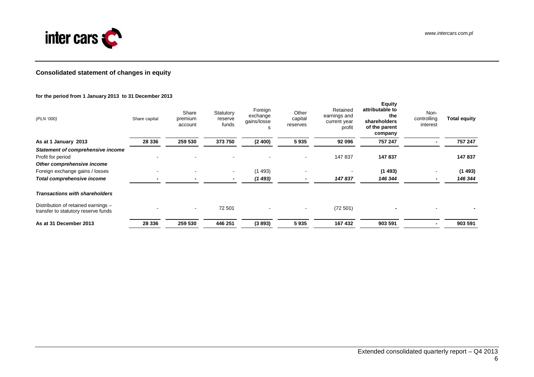

## **Consolidated statement of changes in equity**

#### **for the period from 1 January 2013 to 31 December 2013**

| (PLN '000)                                                                                  | Share capital | Share<br>premium<br>account | Statutory<br>reserve<br>funds | Foreign<br>exchange<br>gains/losse<br>s | Other<br>capital<br>reserves | Retained<br>earnings and<br>current year<br>profit | <b>Equity</b><br>attributable to<br>the<br>shareholders<br>of the parent<br>company | Non-<br>controlling<br>interest | <b>Total equity</b> |
|---------------------------------------------------------------------------------------------|---------------|-----------------------------|-------------------------------|-----------------------------------------|------------------------------|----------------------------------------------------|-------------------------------------------------------------------------------------|---------------------------------|---------------------|
| As at 1 January 2013                                                                        | 28 336        | 259 530                     | 373750                        | (2400)                                  | 5935                         | 92 096                                             | 757 247                                                                             |                                 | 757 247             |
| <b>Statement of comprehensive income</b><br>Profit for period<br>Other comprehensive income |               |                             | -                             |                                         | $\blacksquare$               | 147 837                                            | 147837                                                                              |                                 | 147 837             |
| Foreign exchange gains / losses                                                             |               |                             | $\blacksquare$                | (1493)                                  |                              |                                                    | (1493)                                                                              |                                 | (1493)              |
| Total comprehensive income                                                                  |               |                             |                               | (1493)                                  |                              | 147837                                             | 146 344                                                                             |                                 | 146 344             |
| <b>Transactions with shareholders</b>                                                       |               |                             |                               |                                         |                              |                                                    |                                                                                     |                                 |                     |
| Distribution of retained earnings -<br>transfer to statutory reserve funds                  |               |                             | 72 501                        | $\sim$                                  |                              | (72501)                                            |                                                                                     |                                 |                     |
| As at 31 December 2013                                                                      | 28 336        | 259 530                     | 446 251                       | (3893)                                  | 5935                         | 167 432                                            | 903 591                                                                             |                                 | 903 591             |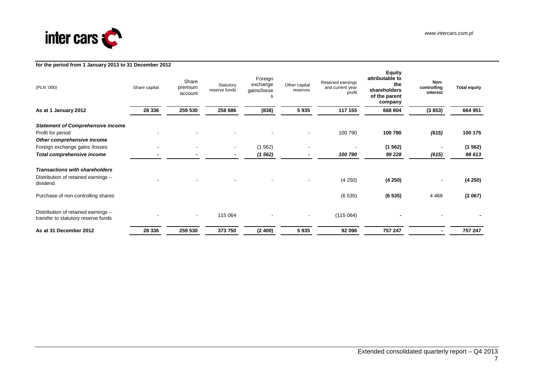

#### www.intercars.com.pl

|                                                                                             | for the period from 1 January 2013 to 31 December 2012 |                             |                                            |                                         |                           |                                                 |                                                                                     |                                 |                     |
|---------------------------------------------------------------------------------------------|--------------------------------------------------------|-----------------------------|--------------------------------------------|-----------------------------------------|---------------------------|-------------------------------------------------|-------------------------------------------------------------------------------------|---------------------------------|---------------------|
| (PLN '000)                                                                                  | Share capital                                          | Share<br>premium<br>account | Statutory<br>reserve funds                 | Foreign<br>exchange<br>gains/losse<br>s | Other capital<br>reserves | Retained earnings<br>and current year<br>profit | <b>Equity</b><br>attributable to<br>the<br>shareholders<br>of the parent<br>company | Non-<br>controlling<br>interest | <b>Total equity</b> |
| As at 1 January 2012                                                                        | 28 3 36                                                | 259 530                     | 258 686                                    | (838)                                   | 5935                      | 117 155                                         | 668 804                                                                             | (3853)                          | 664 951             |
| <b>Statement of Comprehensive income</b><br>Profit for period<br>Other comprehensive income |                                                        |                             |                                            |                                         |                           | 100 790                                         | 100 790                                                                             | (615)                           | 100 175             |
| Foreign exchange gains /losses<br>Total comprehensive income                                |                                                        |                             | $\blacksquare$<br>$\overline{\phantom{a}}$ | (1562)<br>(1 562)                       |                           | 100 790                                         | (1562)<br>99 228                                                                    | (615)                           | (1562)<br>98 613    |
| <b>Transactions with shareholders</b><br>Distribution of retained earnings -<br>dividend    |                                                        |                             |                                            |                                         |                           | (4 250)                                         | (4250)                                                                              |                                 | (4250)              |
| Purchase of non-controlling shares                                                          |                                                        |                             |                                            |                                         |                           | (6535)                                          | (6535)                                                                              | 4 4 6 8                         | (2067)              |
| Distribution of retained earnings -<br>transfer to statutory reserve funds                  |                                                        | $\overline{\phantom{a}}$    | 115 064                                    | $\overline{\phantom{a}}$                |                           | (115064)                                        |                                                                                     |                                 |                     |
| As at 31 December 2012                                                                      | 28 336                                                 | 259 530                     | 373 750                                    | (2400)                                  | 5935                      | 92 096                                          | 757 247                                                                             |                                 | 757 247             |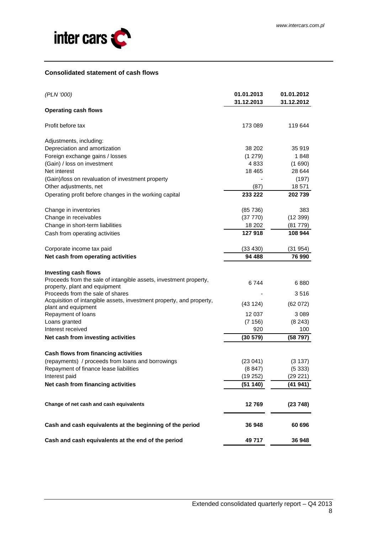

## **Consolidated statement of cash flows**

| (PLN '000)                                                                                         | 01.01.2013<br>31.12.2013 | 01.01.2012<br>31.12.2012 |
|----------------------------------------------------------------------------------------------------|--------------------------|--------------------------|
| <b>Operating cash flows</b>                                                                        |                          |                          |
| Profit before tax                                                                                  | 173 089                  | 119 644                  |
| Adjustments, including:                                                                            |                          |                          |
| Depreciation and amortization                                                                      | 38 202                   | 35 919                   |
| Foreign exchange gains / losses                                                                    | (1279)                   | 1848                     |
| (Gain) / loss on investment                                                                        | 4833                     | (1690)                   |
| Net interest                                                                                       | 18 4 65                  | 28 644                   |
| (Gain)/loss on revaluation of investment property                                                  |                          | (197)                    |
| Other adjustments, net                                                                             | (87)                     | 18 571                   |
| Operating profit before changes in the working capital                                             | 233 222                  | 202 739                  |
| Change in inventories                                                                              | (85736)                  | 383                      |
| Change in receivables                                                                              | (37 770)                 | (12399)                  |
| Change in short-term liabilities                                                                   | 18 20 2                  | (81 779)                 |
| Cash from operating activities                                                                     | 127 918                  | 108 944                  |
| Corporate income tax paid                                                                          | (33 430)                 | (31 954)                 |
| Net cash from operating activities                                                                 | 94 488                   | 76 990                   |
| <b>Investing cash flows</b>                                                                        |                          |                          |
| Proceeds from the sale of intangible assets, investment property,<br>property, plant and equipment | 6744                     | 6880                     |
| Proceeds from the sale of shares                                                                   |                          | 3516                     |
| Acquisition of intangible assets, investment property, and property,<br>plant and equipment        | (43124)                  | (62 072)                 |
| Repayment of loans                                                                                 | 12 037                   | 3 0 8 9                  |
| Loans granted                                                                                      | (7156)                   | (8243)                   |
| Interest received                                                                                  | 920                      | 100                      |
| Net cash from investing activities                                                                 | (30 579)                 | (58 797)                 |
| Cash flows from financing activities                                                               |                          |                          |
| (repayments) / proceeds from loans and borrowings                                                  | (23041)                  | (3137)                   |
| Repayment of finance lease liabilities                                                             | (8847)                   | (5333)                   |
| Interest paid                                                                                      | (19 252)                 | (29 221)                 |
| Net cash from financing activities                                                                 | (51140)                  | (41 941)                 |
|                                                                                                    |                          |                          |
| Change of net cash and cash equivalents                                                            | 12769                    | (23748)                  |
| Cash and cash equivalents at the beginning of the period                                           | 36 948                   | 60 696                   |
| Cash and cash equivalents at the end of the period                                                 | 49 717                   | 36 948                   |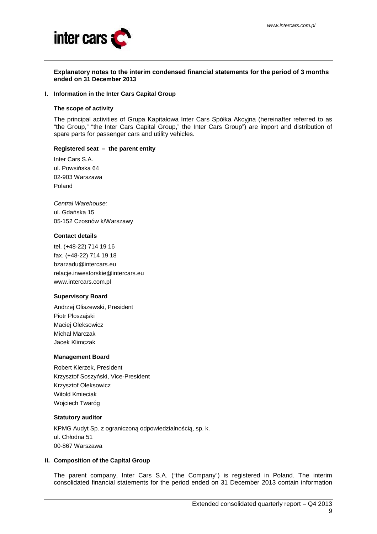

#### **Explanatory notes to the interim condensed financial statements for the period of 3 months ended on 31 December 2013**

#### **I. Information in the Inter Cars Capital Group**

#### **The scope of activity**

The principal activities of Grupa Kapitałowa Inter Cars Spółka Akcyjna (hereinafter referred to as "the Group," "the Inter Cars Capital Group," the Inter Cars Group") are import and distribution of spare parts for passenger cars and utility vehicles.

#### **Registered seat – the parent entity**

Inter Cars S.A. ul. Powsińska 64 02-903 Warszawa Poland

Central Warehouse: ul. Gdańska 15 05-152 Czosnów k/Warszawy

## **Contact details**

tel. (+48-22) 714 19 16 fax. (+48-22) 714 19 18 bzarzadu@intercars.eu relacje.inwestorskie@intercars.eu www.intercars.com.pl

#### **Supervisory Board**

Andrzej Oliszewski, President Piotr Płoszajski Maciej Oleksowicz Michał Marczak Jacek Klimczak

#### **Management Board**

Robert Kierzek, President Krzysztof Soszyński, Vice-President Krzysztof Oleksowicz Witold Kmieciak Wojciech Twaróg

#### **Statutory auditor**

KPMG Audyt Sp. z ograniczoną odpowiedzialnością, sp. k. ul. Chłodna 51 00-867 Warszawa

### **II. Composition of the Capital Group**

The parent company, Inter Cars S.A. ("the Company") is registered in Poland. The interim consolidated financial statements for the period ended on 31 December 2013 contain information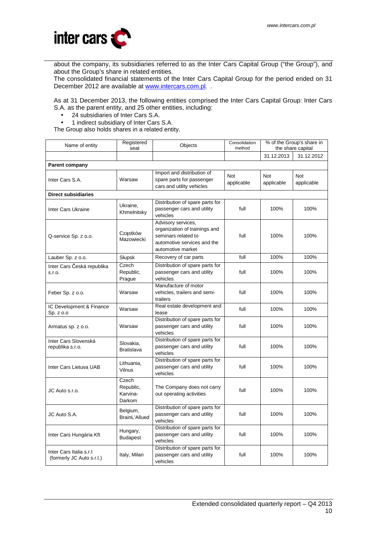

about the company, its subsidiaries referred to as the Inter Cars Capital Group ("the Group"), and about the Group's share in related entities.

The consolidated financial statements of the Inter Cars Capital Group for the period ended on 31 December 2012 are available at www.intercars.com.pl.

As at 31 December 2013, the following entities comprised the Inter Cars Capital Group: Inter Cars S.A. as the parent entity, and 25 other entities, including:

- 24 subsidiaries of Inter Cars S.A.
- 1 indirect subsidiary of Inter Cars S.A.

The Group also holds shares in a related entity.

| Name of entity                                       | Registered<br>seat                       | Objects                                                                                                                        | Consolidation<br>method | % of the Group's share in<br>the share capital |                   |
|------------------------------------------------------|------------------------------------------|--------------------------------------------------------------------------------------------------------------------------------|-------------------------|------------------------------------------------|-------------------|
|                                                      |                                          |                                                                                                                                |                         | 31.12.2013                                     | 31.12.2012        |
| <b>Parent company</b>                                |                                          |                                                                                                                                |                         |                                                |                   |
| Inter Cars S.A.                                      | Warsaw                                   | Import and distribution of<br>spare parts for passenger<br>cars and utility vehicles                                           | Not<br>applicable       | Not<br>applicable                              | Not<br>applicable |
| <b>Direct subsidiaries</b>                           |                                          |                                                                                                                                |                         |                                                |                   |
| Inter Cars Ukraine                                   | Ukraine,<br>Khmelnitsky                  | Distribution of spare parts for<br>passenger cars and utility<br>vehicles                                                      | full                    | 100%                                           | 100%              |
| Q-service Sp. z o.o.                                 | Cząstków<br>Mazowiecki                   | Advisory services,<br>organization of trainings and<br>seminars related to<br>automotive services and the<br>automotive market | full                    | 100%                                           | 100%              |
| Lauber Sp. z o.o.                                    | Słupsk                                   | Recovery of car parts                                                                                                          | full                    | 100%                                           | 100%              |
| Inter Cars Česká republika<br>S.I.O.                 | Czech<br>Republic,<br>Prague             | Distribution of spare parts for<br>passenger cars and utility<br>vehicles                                                      | full                    | 100%                                           | 100%              |
| Feber Sp. z o.o.                                     | Warsaw                                   | Manufacture of motor<br>vehicles, trailers and semi-<br>trailers                                                               | full                    | 100%                                           | 100%              |
| IC Development & Finance<br>Sp. z o.o                | Warsaw                                   | Real estate development and<br>lease                                                                                           | full                    | 100%                                           | 100%              |
| Armatus sp. z o.o.                                   | Warsaw                                   | Distribution of spare parts for<br>passenger cars and utility<br>vehicles                                                      | full                    | 100%                                           | 100%              |
| Inter Cars Slovenská<br>republika s.r.o.             | Slovakia,<br>Bratislava                  | Distribution of spare parts for<br>passenger cars and utility<br>vehicles                                                      | full                    | 100%                                           | 100%              |
| Inter Cars Lietuva UAB                               | Lithuania,<br>Vilnus                     | Distribution of spare parts for<br>passenger cars and utility<br>vehicles                                                      | full                    | 100%                                           | 100%              |
| JC Auto s.r.o.                                       | Czech<br>Republic,<br>Karvina-<br>Darkom | The Company does not carry<br>out operating activities                                                                         | full                    | 100%                                           | 100%              |
| JC Auto S.A.                                         | Belgium,<br>BrainL'Allued                | Distribution of spare parts for<br>passenger cars and utility<br>vehicles                                                      | full                    | 100%                                           | 100%              |
| Inter Cars Hungária Kft                              | Hungary,<br><b>Budapest</b>              | Distribution of spare parts for<br>passenger cars and utility<br>vehicles                                                      | full                    | 100%                                           | 100%              |
| Inter Cars Italia s.r.I<br>(formerly JC Auto s.r.l.) | Italy, Milan                             | Distribution of spare parts for<br>passenger cars and utility<br>vehicles                                                      | full                    | 100%                                           | 100%              |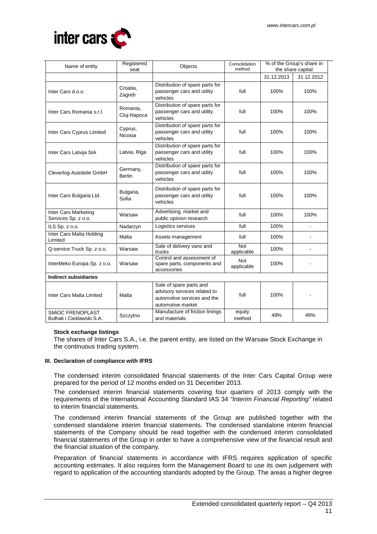

| Name of entity                                      | Registered<br>seat        | Objects                                                                                                     | % of the Group's share in<br>Consolidation<br>method<br>the share capital |            |                |
|-----------------------------------------------------|---------------------------|-------------------------------------------------------------------------------------------------------------|---------------------------------------------------------------------------|------------|----------------|
|                                                     |                           |                                                                                                             |                                                                           | 31.12.2013 | 31.12.2012     |
| Inter Cars d.o.o.                                   | Croatia,<br>Zagreb        | Distribution of spare parts for<br>passenger cars and utility<br>vehicles                                   | full                                                                      | 100%       | 100%           |
| Inter Cars Romania s.r.l.                           | Romania,<br>Cluj-Napoca   | Distribution of spare parts for<br>passenger cars and utility<br>vehicles                                   | full                                                                      | 100%       | 100%           |
| Inter Cars Cyprus Limited                           | Cyprus,<br>Nicosia        | Distribution of spare parts for<br>passenger cars and utility<br>vehicles                                   | full                                                                      | 100%       | 100%           |
| Inter Cars Latvija SIA                              | Latvia, Riga              | Distribution of spare parts for<br>passenger cars and utility<br>vehicles                                   | full                                                                      | 100%       | 100%           |
| Cleverlog-Autoteile GmbH                            | Germany,<br><b>Berlin</b> | Distribution of spare parts for<br>passenger cars and utility<br>vehicles                                   | full                                                                      | 100%       | 100%           |
| Inter Cars Bulgaria Ltd.                            | Bulgaria,<br>Sofia        | Distribution of spare parts for<br>passenger cars and utility<br>vehicles                                   | full                                                                      | 100%       | 100%           |
| Inter Cars Marketing<br>Services Sp. z o.o.         | Warsaw                    | Advertising, market and<br>public opinion research                                                          | full                                                                      | 100%       | 100%           |
| ILS Sp. z o.o.                                      | Nadarzyn                  | Logistics services                                                                                          | full                                                                      | 100%       |                |
| Inter Cars Malta Holding<br>Limited                 | Malta                     | Assets management                                                                                           | full                                                                      | 100%       |                |
| Q-service Truck Sp. z o.o.                          | Warsaw                    | Sale of delivery vans and<br>trucks                                                                         | Not<br>applicable                                                         | 100%       | $\blacksquare$ |
| InterMeko Europa Sp. z o.o.                         | Warsaw                    | Control and assessment of<br>spare parts, components and<br>accessories                                     | <b>Not</b><br>applicable                                                  | 100%       |                |
| <b>Indirect subsidiaries</b>                        |                           |                                                                                                             |                                                                           |            |                |
| Inter Cars Malta Limited                            | Malta                     | Sale of spare parts and<br>advisory services related to<br>automotive services and the<br>automotive market | full                                                                      | 100%       |                |
| <b>SMIOC FRENOPLAST</b><br>Bułhak i Cieślawski S.A. | Szczytno                  | Manufacture of friction linings<br>and materials                                                            | equity<br>method                                                          | 49%        | 49%            |

### **Stock exchange listings**

The shares of Inter Cars S.A., i.e. the parent entity, are listed on the Warsaw Stock Exchange in the continuous trading system.

#### **III. Declaration of compliance with IFRS**

The condensed interim consolidated financial statements of the Inter Cars Capital Group were prepared for the period of 12 months ended on 31 December 2013.

The condensed interim financial statements covering four quarters of 2013 comply with the requirements of the International Accounting Standard IAS 34 "Interim Financial Reporting" related to interim financial statements.

The condensed interim financial statements of the Group are published together with the condensed standalone interim financial statements. The condensed standalone interim financial statements of the Company should be read together with the condensed interim consolidated financial statements of the Group in order to have a comprehensive view of the financial result and the financial situation of the company.

Preparation of financial statements in accordance with IFRS requires application of specific accounting estimates. It also requires form the Management Board to use its own judgement with regard to application of the accounting standards adopted by the Group. The areas a higher degree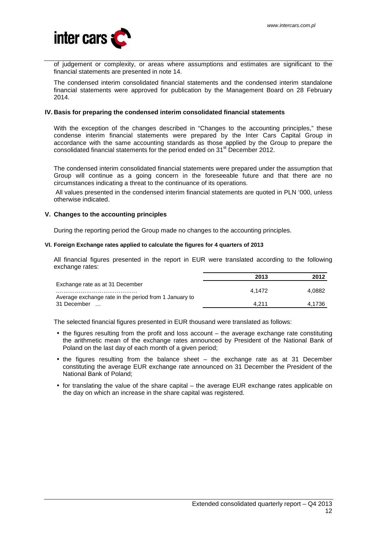

of judgement or complexity, or areas where assumptions and estimates are significant to the financial statements are presented in note 14.

The condensed interim consolidated financial statements and the condensed interim standalone financial statements were approved for publication by the Management Board on 28 February 2014.

#### **IV. Basis for preparing the condensed interim consolidated financial statements**

With the exception of the changes described in "Changes to the accounting principles," these condense interim financial statements were prepared by the Inter Cars Capital Group in accordance with the same accounting standards as those applied by the Group to prepare the consolidated financial statements for the period ended on 31<sup>st</sup> December 2012.

The condensed interim consolidated financial statements were prepared under the assumption that Group will continue as a going concern in the foreseeable future and that there are no circumstances indicating a threat to the continuance of its operations.

 All values presented in the condensed interim financial statements are quoted in PLN '000, unless otherwise indicated.

#### **V. Changes to the accounting principles**

During the reporting period the Group made no changes to the accounting principles.

#### **VI. Foreign Exchange rates applied to calculate the figures for 4 quarters of 2013**

All financial figures presented in the report in EUR were translated according to the following exchange rates:

|                                                       | 2013   | 2012   |
|-------------------------------------------------------|--------|--------|
| Exchange rate as at 31 December                       |        |        |
|                                                       | 4.1472 | 4.0882 |
| Average exchange rate in the period from 1 January to |        |        |
| 31 December<br>$\cdot$ $\cdot$ $\cdot$                | 4.211  | 4.1736 |

The selected financial figures presented in EUR thousand were translated as follows:

- the figures resulting from the profit and loss account the average exchange rate constituting the arithmetic mean of the exchange rates announced by President of the National Bank of Poland on the last day of each month of a given period;
- the figures resulting from the balance sheet the exchange rate as at 31 December constituting the average EUR exchange rate announced on 31 December the President of the National Bank of Poland;
- for translating the value of the share capital the average EUR exchange rates applicable on the day on which an increase in the share capital was registered.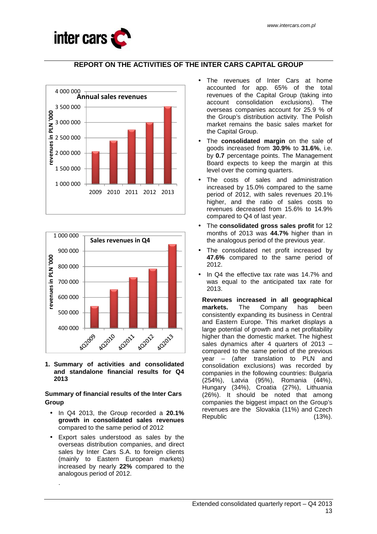

# **REPORT ON THE ACTIVITIES OF THE INTER CARS CAPITAL GROUP**





**1. Summary of activities and consolidated and standalone financial results for Q4 2013** 

## **Summary of financial results of the Inter Cars Group**

- In Q4 2013, the Group recorded a **20.1% growth in consolidated sales revenues**  compared to the same period of 2012
- Export sales understood as sales by the overseas distribution companies, and direct sales by Inter Cars S.A. to foreign clients (mainly to Eastern European markets) increased by nearly **22%** compared to the analogous period of 2012.

.

- The revenues of Inter Cars at home accounted for app. 65% of the total revenues of the Capital Group (taking into account consolidation exclusions). The overseas companies account for 25.9 % of the Group's distribution activity. The Polish market remains the basic sales market for the Capital Group.
- The **consolidated margin** on the sale of goods increased from **30.9%** to **31.6%**, i.e. by **0.7** percentage points. The Management Board expects to keep the margin at this level over the coming quarters.
- The costs of sales and administration increased by 15.0% compared to the same period of 2012, with sales revenues 20.1% higher, and the ratio of sales costs to revenues decreased from 15.6% to 14.9% compared to Q4 of last year.
- The **consolidated gross sales profit** for 12 months of 2013 was **44.7%** higher than in the analogous period of the previous year.
- The consolidated net profit increased by **47.6%** compared to the same period of 2012.
- In Q4 the effective tax rate was 14.7% and was equal to the anticipated tax rate for 2013.

**Revenues increased in all geographical markets.** The Company has been consistently expanding its business in Central and Eastern Europe. This market displays a large potential of growth and a net profitability higher than the domestic market. The highest sales dynamics after 4 quarters of 2013 – compared to the same period of the previous year – (after translation to PLN and consolidation exclusions) was recorded by companies in the following countries: Bulgaria (254%), Latvia (95%), Romania (44%), Hungary (34%), Croatia (27%), Lithuania (26%). It should be noted that among companies the biggest impact on the Group's revenues are the Slovakia (11%) and Czech Republic (13%).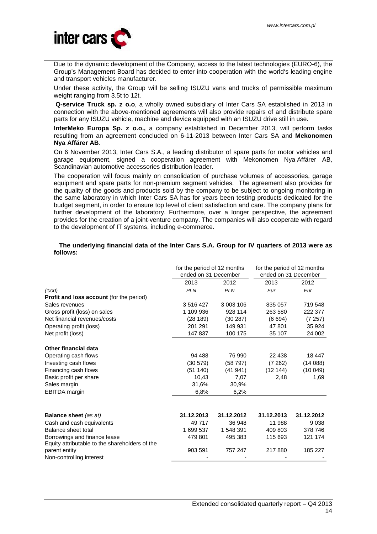

Due to the dynamic development of the Company, access to the latest technologies (EURO-6), the Group's Management Board has decided to enter into cooperation with the world's leading engine and transport vehicles manufacturer.

Under these activity, the Group will be selling ISUZU vans and trucks of permissible maximum weight ranging from 3.5t to 12t.

**Q-service Truck sp. z o.o**, a wholly owned subsidiary of Inter Cars SA established in 2013 in connection with the above-mentioned agreements will also provide repairs of and distribute spare parts for any ISUZU vehicle, machine and device equipped with an ISUZU drive still in use.

**InterMeko Europa Sp. z o.o.,** a company established in December 2013, will perform tasks resulting from an agreement concluded on 6-11-2013 between Inter Cars SA and **Mekonomen Nya Affärer AB**.

On 6 November 2013, Inter Cars S.A., a leading distributor of spare parts for motor vehicles and garage equipment, signed a cooperation agreement with Mekonomen Nya Affärer AB, Scandinavian automotive accessories distribution leader.

The cooperation will focus mainly on consolidation of purchase volumes of accessories, garage equipment and spare parts for non-premium segment vehicles. The agreement also provides for the quality of the goods and products sold by the company to be subject to ongoing monitoring in the same laboratory in which Inter Cars SA has for years been testing products dedicated for the budget segment, in order to ensure top level of client satisfaction and care. The company plans for further development of the laboratory. Furthermore, over a longer perspective, the agreement provides for the creation of a joint-venture company. The companies will also cooperate with regard to the development of IT systems, including e-commerce.

## **The underlying financial data of the Inter Cars S.A. Group for IV quarters of 2013 were as follows:**

|                                                 | for the period of 12 months |            | for the period of 12 months |            |
|-------------------------------------------------|-----------------------------|------------|-----------------------------|------------|
|                                                 | ended on 31 December        |            | ended on 31 December        |            |
|                                                 | 2013                        | 2012       | 2013                        | 2012       |
| (1000)                                          | <b>PLN</b>                  | <b>PLN</b> | Eur                         | Eur        |
| <b>Profit and loss account (for the period)</b> |                             |            |                             |            |
| Sales revenues                                  | 3516427                     | 3 003 106  | 835 057                     | 719 548    |
| Gross profit (loss) on sales                    | 1 109 936                   | 928 114    | 263 580                     | 222 377    |
| Net financial revenues/costs                    | (28189)                     | (30 287)   | (6694)                      | (7257)     |
| Operating profit (loss)                         | 201 291                     | 149 931    | 47 801                      | 35 924     |
| Net profit (loss)                               | 147 837                     | 100 175    | 35 107                      | 24 002     |
| Other financial data                            |                             |            |                             |            |
| Operating cash flows                            | 94 488                      | 76 990     | 22 4 38                     | 18 447     |
| Investing cash flows                            | (30 579)                    | (58797)    | (7262)                      | (14088)    |
| Financing cash flows                            | (51140)                     | (41941)    | (12144)                     | (10049)    |
| Basic profit per share                          | 10,43                       | 7,07       | 2,48                        | 1,69       |
| Sales margin                                    | 31,6%                       | 30,9%      |                             |            |
| <b>EBITDA</b> margin                            | 6,8%                        | 6,2%       |                             |            |
|                                                 |                             |            |                             |            |
| <b>Balance sheet</b> (as at)                    | 31.12.2013                  | 31.12.2012 | 31.12.2013                  | 31.12.2012 |
| Cash and cash equivalents                       | 49 717                      | 36 948     | 11 988                      | 9 0 38     |
| Balance sheet total                             | 1 699 537                   | 1 548 391  | 409 803                     | 378 746    |
| Borrowings and finance lease                    | 479 801                     | 495 383    | 115 693                     | 121 174    |
| Equity attributable to the shareholders of the  |                             |            |                             |            |
| parent entity                                   | 903 591                     | 757 247    | 217880                      | 185 227    |
| Non-controlling interest                        |                             |            |                             |            |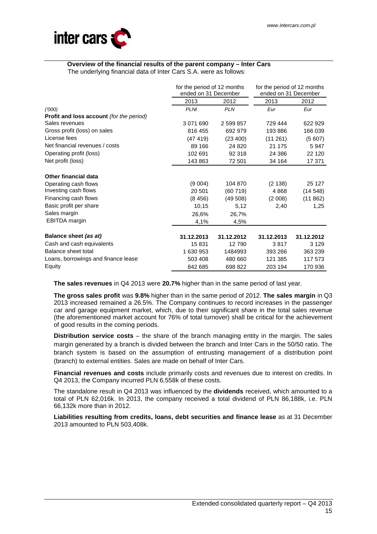

# **Overview of the financial results of the parent company – Inter Cars**

The underlying financial data of Inter Cars S.A. were as follows:

|                                                 | for the period of 12 months |            | for the period of 12 months |            |
|-------------------------------------------------|-----------------------------|------------|-----------------------------|------------|
|                                                 | ended on 31 December        |            | ended on 31 December        |            |
|                                                 | 2013                        | 2012       | 2013                        | 2012       |
| (1000)                                          | <b>PLNI</b>                 | <b>PLN</b> | Eur                         | Eur        |
| <b>Profit and loss account</b> (for the period) |                             |            |                             |            |
| Sales revenues                                  | 3 071 690                   | 2 599 857  | 729 444                     | 622 929    |
| Gross profit (loss) on sales                    | 816 455                     | 692 979    | 193 886                     | 166 039    |
| License fees                                    | (47419)                     | (23, 400)  | (11261)                     | (5607)     |
| Net financial revenues / costs                  | 89 166                      | 24 8 20    | 21 175                      | 5947       |
| Operating profit (loss)                         | 102 691                     | 92 318     | 24 386                      | 22 120     |
| Net profit (loss)                               | 143 863                     | 72 501     | 34 164                      | 17 371     |
| Other financial data                            |                             |            |                             |            |
| Operating cash flows                            | (9004)                      | 104 870    | (2138)                      | 25 127     |
| Investing cash flows                            | 20 501                      | (60719)    | 4868                        | (14548)    |
| Financing cash flows                            | (8456)                      | (49508)    | (2008)                      | (11862)    |
| Basic profit per share                          | 10,15                       | 5,12       | 2,40                        | 1,25       |
| Sales margin                                    | 26,6%                       | 26,7%      |                             |            |
| <b>EBITDA</b> margin                            | 4,1%                        | 4,5%       |                             |            |
| Balance sheet (as at)                           | 31.12.2013                  | 31.12.2012 | 31.12.2013                  | 31.12.2012 |
| Cash and cash equivalents                       | 15831                       | 12790      | 3817                        | 3 1 2 9    |
| Balance sheet total                             | 1 630 953                   | 1484993    | 393 266                     | 363 239    |
| Loans, borrowings and finance lease             | 503 408                     | 480 660    | 121 385                     | 117 573    |
| Equity                                          | 842 685                     | 698 822    | 203 194                     | 170 936    |

**The sales revenues** in Q4 2013 were **20.7%** higher than in the same period of last year.

**The gross sales profit** was **9.8%** higher than in the same period of 2012. **The sales margin** in Q3 2013 increased remained a 26.5%. The Company continues to record increases in the passenger car and garage equipment market, which, due to their significant share in the total sales revenue (the aforementioned market account for 76% of total turnover) shall be critical for the achievement of good results in the coming periods.

**Distribution service costs** – the share of the branch managing entity in the margin. The sales margin generated by a branch is divided between the branch and Inter Cars in the 50/50 ratio. The branch system is based on the assumption of entrusting management of a distribution point (branch) to external entities. Sales are made on behalf of Inter Cars.

**Financial revenues and costs** include primarily costs and revenues due to interest on credits. In Q4 2013, the Company incurred PLN 6,558k of these costs.

The standalone result in Q4 2013 was influenced by the **dividends** received, which amounted to a total of PLN 62,016k. In 2013, the company received a total dividend of PLN 86,188k, i.e. PLN 66,132k more than in 2012.

**Liabilities resulting from credits, loans, debt securities and finance lease** as at 31 December 2013 amounted to PLN 503,408k.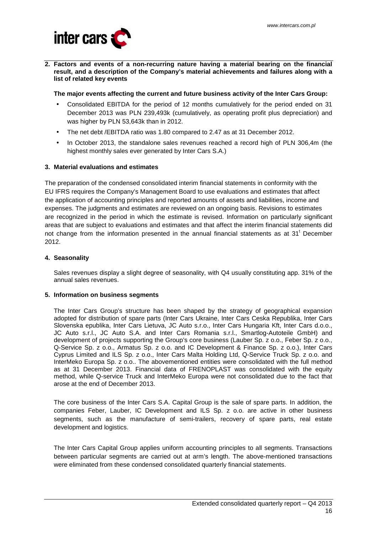

**2. Factors and events of a non-recurring nature having a material bearing on the financial result, and a description of the Company's material achievements and failures along with a list of related key events** 

**The major events affecting the current and future business activity of the Inter Cars Group:** 

- Consolidated EBITDA for the period of 12 months cumulatively for the period ended on 31 December 2013 was PLN 239,493k (cumulatively, as operating profit plus depreciation) and was higher by PLN 53,643k than in 2012.
- The net debt /EBITDA ratio was 1.80 compared to 2.47 as at 31 December 2012.
- In October 2013, the standalone sales revenues reached a record high of PLN 306,4m (the highest monthly sales ever generated by Inter Cars S.A.)

## **3. Material evaluations and estimates**

The preparation of the condensed consolidated interim financial statements in conformity with the EU IFRS requires the Company's Management Board to use evaluations and estimates that affect the application of accounting principles and reported amounts of assets and liabilities, income and expenses. The judgments and estimates are reviewed on an ongoing basis. Revisions to estimates are recognized in the period in which the estimate is revised. Information on particularly significant areas that are subject to evaluations and estimates and that affect the interim financial statements did not change from the information presented in the annual financial statements as at  $31<sup>t</sup>$  December 2012.

## **4. Seasonality**

Sales revenues display a slight degree of seasonality, with Q4 usually constituting app. 31% of the annual sales revenues.

#### **5. Information on business segments**

The Inter Cars Group's structure has been shaped by the strategy of geographical expansion adopted for distribution of spare parts (Inter Cars Ukraine, Inter Cars Ceska Republika, Inter Cars Slovenska epublika, Inter Cars Lietuva, JC Auto s.r.o., Inter Cars Hungaria Kft, Inter Cars d.o.o., JC Auto s.r.l., JC Auto S.A. and Inter Cars Romania s.r.l., Smartlog-Autoteile GmbH) and development of projects supporting the Group's core business (Lauber Sp. z o.o., Feber Sp. z o.o., Q-Service Sp. z o.o., Armatus Sp. z o.o. and IC Development & Finance Sp. z o.o.), Inter Cars Cyprus Limited and ILS Sp. z o.o., Inter Cars Malta Holding Ltd, Q-Service Truck Sp. z o.o. and InterMeko Europa Sp. z o.o.. The abovementioned entities were consolidated with the full method as at 31 December 2013. Financial data of FRENOPLAST was consolidated with the equity method, while Q-service Truck and InterMeko Europa were not consolidated due to the fact that arose at the end of December 2013.

The core business of the Inter Cars S.A. Capital Group is the sale of spare parts. In addition, the companies Feber, Lauber, IC Development and ILS Sp. z o.o. are active in other business segments, such as the manufacture of semi-trailers, recovery of spare parts, real estate development and logistics.

The Inter Cars Capital Group applies uniform accounting principles to all segments. Transactions between particular segments are carried out at arm's length. The above-mentioned transactions were eliminated from these condensed consolidated quarterly financial statements.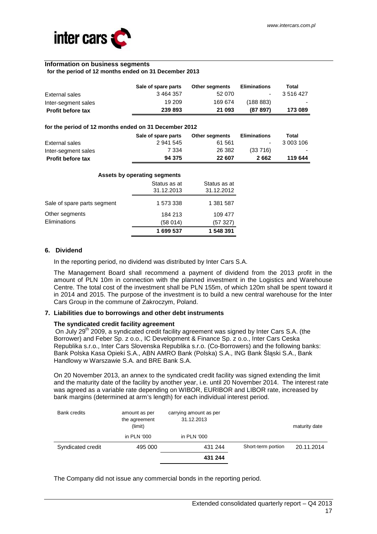

#### **Information on business segments**

#### **for the period of 12 months ended on 31 December 2013**

|                          | Sale of spare parts | <b>Other segments</b> | <b>Eliminations</b> | Total     |
|--------------------------|---------------------|-----------------------|---------------------|-----------|
| External sales           | 3464357             | 52 070                | $\sim$              | 3 516 427 |
| Inter-segment sales      | 19 209              | 169 674               | (188883)            | $\sim$    |
| <b>Profit before tax</b> | 239 893             | 21 093                | (87897)             | 173 089   |

#### **for the period of 12 months ended on 31 December 2012**

|                          | Sale of spare parts | <b>Other segments</b> | <b>Eliminations</b> | Total     |
|--------------------------|---------------------|-----------------------|---------------------|-----------|
| External sales           | 2 941 545           | 61 561                | $\sim$              | 3 003 106 |
| Inter-segment sales      | 7 334               | 26 382                | $(33\ 716)$         | $\sim$    |
| <b>Profit before tax</b> | 94 375              | 22 607                | 2 662               | 119 644   |

|                             | Assets by operating segments |                            |
|-----------------------------|------------------------------|----------------------------|
|                             | Status as at<br>31.12.2013   | Status as at<br>31.12.2012 |
| Sale of spare parts segment | 1 573 338                    | 1 381 587                  |
| Other segments              | 184 213                      | 109 477                    |
| Eliminations                | (58 014)                     | (57327)                    |
|                             | 1 699 537                    | 1 548 391                  |

#### **6. Dividend**

In the reporting period, no dividend was distributed by Inter Cars S.A.

The Management Board shall recommend a payment of dividend from the 2013 profit in the amount of PLN 10m in connection with the planned investment in the Logistics and Warehouse Centre. The total cost of the investment shall be PLN 155m, of which 120m shall be spent toward it in 2014 and 2015. The purpose of the investment is to build a new central warehouse for the Inter Cars Group in the commune of Zakroczym, Poland.

#### **7. Liabilities due to borrowings and other debt instruments**

### **The syndicated credit facility agreement**

On July 29<sup>th</sup> 2009, a syndicated credit facility agreement was signed by Inter Cars S.A. (the Borrower) and Feber Sp. z o.o., IC Development & Finance Sp. z o.o., Inter Cars Ceska Republika s.r.o., Inter Cars Slovenska Republika s.r.o. (Co-Borrowers) and the following banks: Bank Polska Kasa Opieki S.A., ABN AMRO Bank (Polska) S.A., ING Bank Śląski S.A., Bank Handlowy w Warszawie S.A. and BRE Bank S.A.

On 20 November 2013, an annex to the syndicated credit facility was signed extending the limit and the maturity date of the facility by another year, i.e. until 20 November 2014. The interest rate was agreed as a variable rate depending on WIBOR, EURIBOR and LIBOR rate, increased by bank margins (determined at arm's length) for each individual interest period.

| <b>Bank credits</b> | amount as per<br>the agreement<br>(limit) | carrying amount as per<br>31.12.2013 |                    | maturity date |
|---------------------|-------------------------------------------|--------------------------------------|--------------------|---------------|
|                     | in PLN '000                               | in PLN '000                          |                    |               |
| Syndicated credit   | 495 000                                   | 431 244                              | Short-term portion | 20.11.2014    |
|                     |                                           | 431 244                              |                    |               |

The Company did not issue any commercial bonds in the reporting period.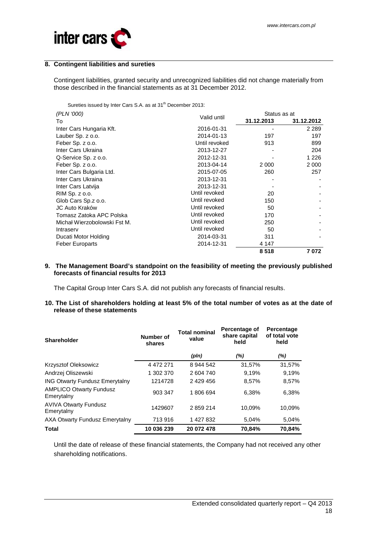

## **8. Contingent liabilities and sureties**

Contingent liabilities, granted security and unrecognized liabilities did not change materially from those described in the financial statements as at 31 December 2012.

Sureties issued by Inter Cars S.A. as at 31<sup>th</sup> December 2013:

| (PLN '000)                   | Valid until   | Status as at |            |
|------------------------------|---------------|--------------|------------|
| To                           |               | 31.12.2013   | 31.12.2012 |
| Inter Cars Hungaria Kft.     | 2016-01-31    |              | 2 2 8 9    |
| Lauber Sp. z o.o.            | 2014-01-13    | 197          | 197        |
| Feber Sp. z o.o.             | Until revoked | 913          | 899        |
| Inter Cars Ukraina           | 2013-12-27    |              | 204        |
| Q-Service Sp. z o.o.         | 2012-12-31    |              | 1 2 2 6    |
| Feber Sp. z o.o.             | 2013-04-14    | 2 0 0 0      | 2 000      |
| Inter Cars Bulgaria Ltd.     | 2015-07-05    | 260          | 257        |
| Inter Cars Ukraina           | 2013-12-31    |              |            |
| Inter Cars Latvija           | 2013-12-31    |              |            |
| RIM Sp. z o.o.               | Until revoked | 20           |            |
| Glob Cars Sp.z o.o.          | Until revoked | 150          |            |
| JC Auto Kraków               | Until revoked | 50           |            |
| Tomasz Zatoka APC Polska     | Until revoked | 170          |            |
| Michał Wierzobolowski Fst M. | Until revoked | 250          |            |
| Intraserv                    | Until revoked | 50           |            |
| Ducati Motor Holding         | 2014-03-31    | 311          |            |
| <b>Feber Europarts</b>       | 2014-12-31    | 4 147        |            |
|                              |               | 8518         | 7 072      |

#### **9. The Management Board's standpoint on the feasibility of meeting the previously published forecasts of financial results for 2013**

The Capital Group Inter Cars S.A. did not publish any forecasts of financial results.

### **10. The List of shareholders holding at least 5% of the total number of votes as at the date of release of these statements**

| <b>Shareholder</b>                           | Number of<br>shares | <b>Total nominal</b><br>value | Percentage of<br>share capital<br>held | Percentage<br>of total vote<br>held |
|----------------------------------------------|---------------------|-------------------------------|----------------------------------------|-------------------------------------|
|                                              |                     | (pln)                         | (%)                                    | (%)                                 |
| Krzysztof Oleksowicz                         | 4 472 271           | 8 944 542                     | 31,57%                                 | 31,57%                              |
| Andrzej Oliszewski                           | 1 302 370           | 2 604 740                     | 9.19%                                  | 9.19%                               |
| <b>ING Otwarty Fundusz Emerytalny</b>        | 1214728             | 2 429 456                     | 8,57%                                  | 8,57%                               |
| <b>AMPLICO Otwarty Fundusz</b><br>Emerytalny | 903 347             | 1806694                       | 6,38%                                  | 6,38%                               |
| <b>AVIVA Otwarty Fundusz</b><br>Emerytalny   | 1429607             | 2859214                       | 10,09%                                 | 10,09%                              |
| AXA Otwarty Fundusz Emerytalny               | 713 916             | 1 427 832                     | 5.04%                                  | 5,04%                               |
| <b>Total</b>                                 | 10 036 239          | 20 072 478                    | 70.84%                                 | 70.84%                              |

Until the date of release of these financial statements, the Company had not received any other shareholding notifications.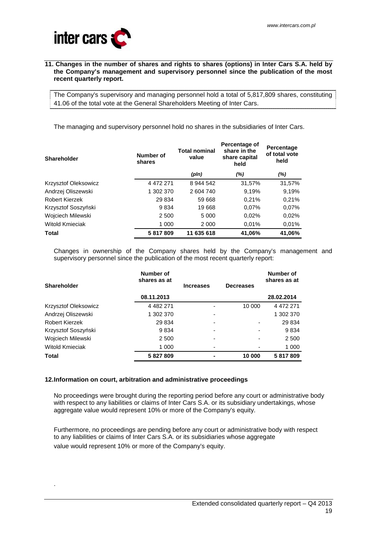

#### **11. Changes in the number of shares and rights to shares (options) in Inter Cars S.A. held by the Company's management and supervisory personnel since the publication of the most recent quarterly report.**

The Company's supervisory and managing personnel hold a total of 5,817,809 shares, constituting 41.06 of the total vote at the General Shareholders Meeting of Inter Cars.

The managing and supervisory personnel hold no shares in the subsidiaries of Inter Cars.

| <b>Shareholder</b>     | Number of<br>shares | <b>Total nominal</b><br>value | Percentage of<br>share in the<br>share capital<br>held | Percentage<br>of total vote<br>held |
|------------------------|---------------------|-------------------------------|--------------------------------------------------------|-------------------------------------|
|                        |                     | (pln)                         | $(\%)$                                                 | $(\%)$                              |
| Krzysztof Oleksowicz   | 4 472 271           | 8 944 542                     | 31,57%                                                 | 31,57%                              |
| Andrzej Oliszewski     | 1 302 370           | 2 604 740                     | 9,19%                                                  | 9,19%                               |
| Robert Kierzek         | 29 834              | 59 668                        | 0.21%                                                  | 0,21%                               |
| Krzysztof Soszyński    | 9834                | 19 668                        | 0.07%                                                  | 0.07%                               |
| Wojciech Milewski      | 2 500               | 5 0 0 0                       | 0,02%                                                  | 0.02%                               |
| <b>Witold Kmieciak</b> | 1 000               | 2 0 0 0                       | 0.01%                                                  | 0.01%                               |
| <b>Total</b>           | 5817809             | 11 635 618                    | 41,06%                                                 | 41,06%                              |

Changes in ownership of the Company shares held by the Company's management and supervisory personnel since the publication of the most recent quarterly report:

| Shareholder                 | Number of<br>shares as at | <b>Increases</b> | <b>Decreases</b> | <b>Number of</b><br>shares as at |
|-----------------------------|---------------------------|------------------|------------------|----------------------------------|
|                             | 08.11.2013                |                  |                  | 28.02.2014                       |
| <b>Krzysztof Oleksowicz</b> | 4 4 8 2 2 7 1             |                  | 10 000           | 4 472 271                        |
| Andrzej Oliszewski          | 1 302 370                 | -                |                  | 1 302 370                        |
| <b>Robert Kierzek</b>       | 29 834                    | -                |                  | 29 834                           |
| Krzysztof Soszyński         | 9834                      | -                | ۰                | 9834                             |
| Wojciech Milewski           | 2 500                     |                  |                  | 2 500                            |
| <b>Witold Kmieciak</b>      | 1 000                     | -                |                  | 1 000                            |
| Total                       | 5 827 809                 | $\blacksquare$   | 10 000           | 5817809                          |

## **12. Information on court, arbitration and administrative proceedings**

.

No proceedings were brought during the reporting period before any court or administrative body with respect to any liabilities or claims of Inter Cars S.A. or its subsidiary undertakings, whose aggregate value would represent 10% or more of the Company's equity.

Furthermore, no proceedings are pending before any court or administrative body with respect to any liabilities or claims of Inter Cars S.A. or its subsidiaries whose aggregate value would represent 10% or more of the Company's equity.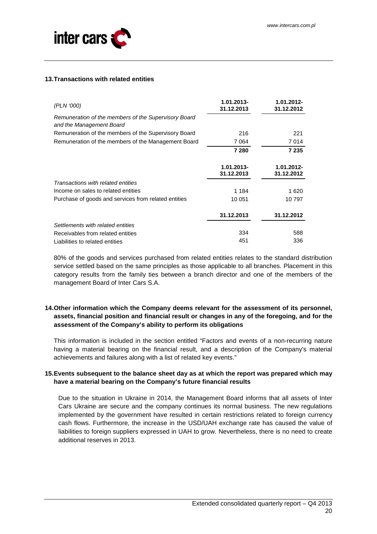

## **13. Transactions with related entities**

| (PLN '000)                                                                       | 1.01.2013-<br>31.12.2013 | 1.01.2012-<br>31.12.2012 |
|----------------------------------------------------------------------------------|--------------------------|--------------------------|
| Remuneration of the members of the Supervisory Board<br>and the Management Board |                          |                          |
| Remuneration of the members of the Supervisory Board                             | 216                      | 221                      |
| Remuneration of the members of the Management Board                              | 7064                     | 7014                     |
|                                                                                  | 7 2 8 0                  | 7 235                    |
|                                                                                  | 1.01.2013-<br>31.12.2013 | 1.01.2012-<br>31.12.2012 |
| Transactions with related entities                                               |                          |                          |
| Income on sales to related entities                                              | 1 1 8 4                  | 1 6 2 0                  |
| Purchase of goods and services from related entities                             | 10 051                   | 10 797                   |
|                                                                                  | 31.12.2013               | 31.12.2012               |
| Settlements with related entities                                                |                          |                          |
| Receivables from related entities                                                | 334                      | 588                      |
| Liabilities to related entities                                                  | 451                      | 336                      |

80% of the goods and services purchased from related entities relates to the standard distribution service settled based on the same principles as those applicable to all branches. Placement in this category results from the family ties between a branch director and one of the members of the management Board of Inter Cars S.A.

## **14. Other information which the Company deems relevant for the assessment of its personnel, assets, financial position and financial result or changes in any of the foregoing, and for the assessment of the Company's ability to perform its obligations**

This information is included in the section entitled "Factors and events of a non-recurring nature having a material bearing on the financial result, and a description of the Company's material achievements and failures along with a list of related key events."

## **15. Events subsequent to the balance sheet day as at which the report was prepared which may have a material bearing on the Company's future financial results**

Due to the situation in Ukraine in 2014, the Management Board informs that all assets of Inter Cars Ukraine are secure and the company continues its normal business. The new regulations implemented by the government have resulted in certain restrictions related to foreign currency cash flows. Furthermore, the increase in the USD/UAH exchange rate has caused the value of liabilities to foreign suppliers expressed in UAH to grow. Nevertheless, there is no need to create additional reserves in 2013.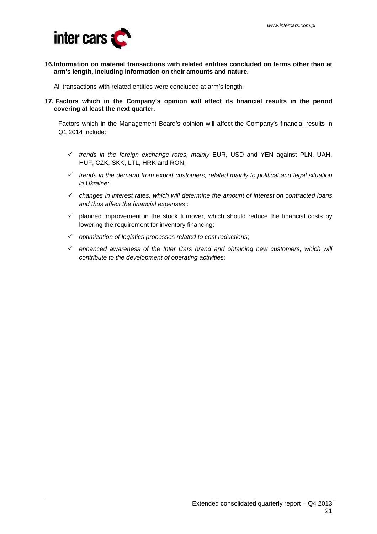

**16. Information on material transactions with related entities concluded on terms other than at arm's length, including information on their amounts and nature.** 

All transactions with related entities were concluded at arm's length.

**17. Factors which in the Company's opinion will affect its financial results in the period covering at least the next quarter.** 

Factors which in the Management Board's opinion will affect the Company's financial results in Q1 2014 include:

- $\checkmark$  trends in the foreign exchange rates, mainly EUR, USD and YEN against PLN, UAH, HUF, CZK, SKK, LTL, HRK and RON;
- $\checkmark$  trends in the demand from export customers, related mainly to political and legal situation in Ukraine;
- $\checkmark$  changes in interest rates, which will determine the amount of interest on contracted loans and thus affect the financial expenses ;
- $\checkmark$  planned improvement in the stock turnover, which should reduce the financial costs by lowering the requirement for inventory financing;
- $\checkmark$  optimization of logistics processes related to cost reductions;
- $\checkmark$  enhanced awareness of the Inter Cars brand and obtaining new customers, which will contribute to the development of operating activities;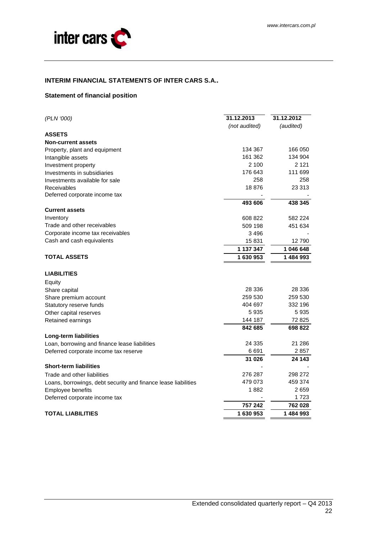

## **INTERIM FINANCIAL STATEMENTS OF INTER CARS S.A..**

## **Statement of financial position**

| (PLN '000)                                                     | 31.12.2013    | 31.12.2012 |  |
|----------------------------------------------------------------|---------------|------------|--|
|                                                                | (not audited) | (audited)  |  |
| <b>ASSETS</b>                                                  |               |            |  |
| <b>Non-current assets</b>                                      |               |            |  |
| Property, plant and equipment                                  | 134 367       | 166 050    |  |
| Intangible assets                                              | 161 362       | 134 904    |  |
| Investment property                                            | 2 100         | 2 1 2 1    |  |
| Investments in subsidiaries                                    | 176 643       | 111 699    |  |
| Investments available for sale                                 | 258           | 258        |  |
| Receivables                                                    | 18876         | 23 313     |  |
| Deferred corporate income tax                                  |               |            |  |
|                                                                | 493 606       | 438 345    |  |
| <b>Current assets</b>                                          |               |            |  |
| Inventory                                                      | 608 822       | 582 224    |  |
| Trade and other receivables                                    | 509 198       | 451 634    |  |
| Corporate income tax receivables                               | 3496          |            |  |
| Cash and cash equivalents                                      | 15831         | 12790      |  |
|                                                                | 1 137 347     | 1 046 648  |  |
| <b>TOTAL ASSETS</b>                                            | 1630953       | 1484993    |  |
| <b>LIABILITIES</b>                                             |               |            |  |
| Equity                                                         |               |            |  |
| Share capital                                                  | 28 336        | 28 336     |  |
| Share premium account                                          | 259 530       | 259 530    |  |
| Statutory reserve funds                                        | 404 697       | 332 196    |  |
| Other capital reserves                                         | 5935          | 5935       |  |
| Retained earnings                                              | 144 187       | 72 825     |  |
|                                                                | 842 685       | 698 822    |  |
| Long-term liabilities                                          |               |            |  |
| Loan, borrowing and finance lease liabilities                  | 24 335        | 21 286     |  |
| Deferred corporate income tax reserve                          | 6691          | 2 857      |  |
|                                                                | 31 026        | 24 143     |  |
| <b>Short-term liabilities</b>                                  |               |            |  |
| Trade and other liabilities                                    | 276 287       | 298 272    |  |
| Loans, borrowings, debt security and finance lease liabilities | 479 073       | 459 374    |  |
| Employee benefits                                              | 1882          | 2659       |  |
| Deferred corporate income tax                                  |               | 1723       |  |
|                                                                | 757 242       | 762 028    |  |
|                                                                |               | 1484993    |  |
| <b>TOTAL LIABILITIES</b>                                       | 1630953       |            |  |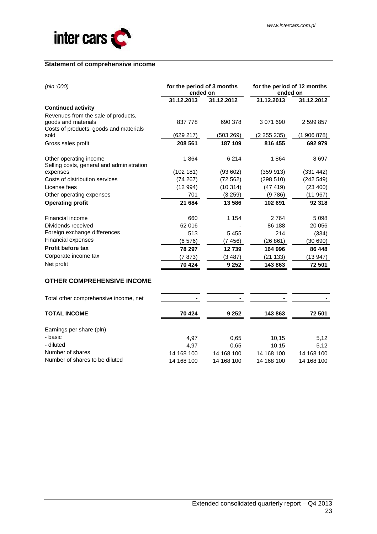

## **Statement of comprehensive income**

| for the period of 3 months<br>ended on |            | for the period of 12 months<br>ended on |                         |
|----------------------------------------|------------|-----------------------------------------|-------------------------|
| 31.12.2013                             | 31.12.2012 | 31.12.2013                              | 31.12.2012              |
|                                        |            |                                         |                         |
| 837 778                                | 690 378    | 3 0 7 1 6 9 0                           | 2 599 857               |
| (629 217)                              |            |                                         | (1906878)               |
| 208 561                                | 187 109    | 816 455                                 | 692 979                 |
| 1864                                   | 6 2 1 4    | 1864                                    | 8697                    |
|                                        |            |                                         | (331 442)               |
| (74267)                                | (72562)    | (298510)                                | (242549)                |
| (12994)                                | (10314)    | (47419)                                 | (23 400)                |
| 701                                    | (3 259)    | (9 786)                                 | (11967)                 |
| 21 684                                 | 13586      | 102 691                                 | 92 318                  |
| 660                                    | 1 1 5 4    | 2764                                    | 5098                    |
| 62 016                                 |            | 86 188                                  | 20 056                  |
| 513                                    | 5455       | 214                                     | (334)                   |
| (6576)                                 | (7 456)    | (26 861)                                | (30690)                 |
| 78 297                                 | 12739      | 164 996                                 | 86 448                  |
| (7 873)                                | (3487)     | (21 133)                                | (13 947)                |
| 70 424                                 | 9 2 5 2    | 143 863                                 | 72 501                  |
|                                        | (102 181)  | (503 269)<br>(93602)                    | (2 255 235)<br>(359913) |

## **OTHER COMPREHENSIVE INCOME**

| Total other comprehensive income, net |            | -          |            |            |
|---------------------------------------|------------|------------|------------|------------|
| <b>TOTAL INCOME</b>                   | 70 424     | 9 2 5 2    | 143863     | 72 501     |
| Earnings per share (pln)              |            |            |            |            |
| - basic                               | 4,97       | 0.65       | 10,15      | 5,12       |
| - diluted                             | 4.97       | 0.65       | 10.15      | 5,12       |
| Number of shares                      | 14 168 100 | 14 168 100 | 14 168 100 | 14 168 100 |
| Number of shares to be diluted        | 14 168 100 | 14 168 100 | 14 168 100 | 14 168 100 |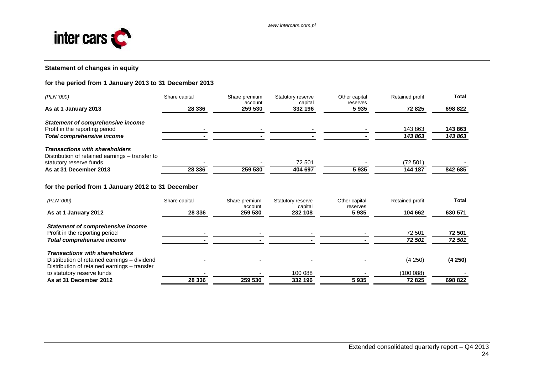

# **Statement of changes in equity**

## **for the period from 1 January 2013 to 31 December 2013**

| (PLN '000)                                                                               | Share capital | Share premium<br>account | Statutory reserve<br>capital | Other capital<br>reserves | Retained profit | <b>Total</b> |
|------------------------------------------------------------------------------------------|---------------|--------------------------|------------------------------|---------------------------|-----------------|--------------|
| As at 1 January 2013                                                                     | 28 336        | 259 530                  | 332 196                      | 5935                      | 72 825          | 698 822      |
| <b>Statement of comprehensive income</b>                                                 |               |                          |                              |                           |                 |              |
| Profit in the reporting period                                                           |               |                          |                              |                           | 143 863         | 143 863      |
| <b>Total comprehensive income</b>                                                        |               |                          |                              |                           | 143 863         | 143 863      |
| <b>Transactions with shareholders</b><br>Distribution of retained earnings – transfer to |               |                          |                              |                           |                 |              |
| statutory reserve funds                                                                  |               |                          | 72 501                       |                           | (72 501)        |              |
| As at 31 December 2013                                                                   | 28 336        | 259 530                  | 404 697                      | 5935                      | 144 187         | 842 685      |
| for the period from 1 January 2012 to 31 December                                        |               |                          |                              |                           |                 |              |
| (PLN '000)                                                                               | Share capital | Share premium            | Statutory reserve            | Other capital             | Retained profit | Total        |
| As at 1 January 2012                                                                     | 28 336        | account<br>259 530       | capital<br>232 108           | reserves<br>5935          | 104 662         | 630 571      |
|                                                                                          |               |                          |                              |                           |                 |              |

| Statement of comprehensive income            |         |         |         |      |          |         |
|----------------------------------------------|---------|---------|---------|------|----------|---------|
| Profit in the reporting period               |         |         |         |      | 72 501   | 72 501  |
| Total comprehensive income                   |         |         |         |      | 72 501   | 72 501  |
| <b>Transactions with shareholders</b>        |         |         |         |      |          |         |
| Distribution of retained earnings - dividend |         |         |         |      | (4250)   | (4250)  |
| Distribution of retained earnings - transfer |         |         |         |      |          |         |
| to statutory reserve funds                   |         |         | 100 088 |      | (100088) |         |
| As at 31 December 2012                       | 28 3 36 | 259 530 | 332 196 | 5935 | 72825    | 698 822 |
|                                              |         |         |         |      |          |         |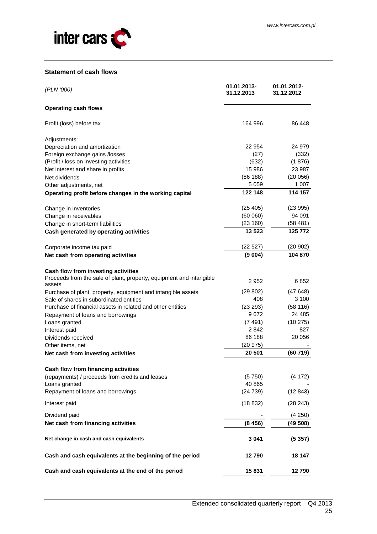

## **Statement of cash flows**

| (PLN '000)                                                          | 01.01.2013-<br>31.12.2013 | 01.01.2012-<br>31.12.2012 |
|---------------------------------------------------------------------|---------------------------|---------------------------|
| <b>Operating cash flows</b>                                         |                           |                           |
| Profit (loss) before tax                                            | 164 996                   | 86 448                    |
| Adjustments:                                                        |                           |                           |
| Depreciation and amortization                                       | 22 954                    | 24 979                    |
| Foreign exchange gains /losses                                      | (27)                      | (332)                     |
| (Profit / loss on investing activities                              | (632)                     | (1876)                    |
| Net interest and share in profits                                   | 15 986                    | 23 987                    |
| Net dividends                                                       | (86 188)                  | (20056)                   |
| Other adjustments, net                                              | 5 0 5 9                   | 1 0 0 7                   |
| Operating profit before changes in the working capital              | 122 148                   | 114 157                   |
| Change in inventories                                               | (25, 405)                 | (23995)                   |
| Change in receivables                                               | (60060)                   | 94 091                    |
| Change in short-term liabilities                                    | (23 160)                  | (58481)                   |
| Cash generated by operating activities                              | 13 523                    | 125 772                   |
| Corporate income tax paid                                           | (22527)                   | (20 902)                  |
| Net cash from operating activities                                  | (9 004)                   | 104 870                   |
| Cash flow from investing activities                                 |                           |                           |
| Proceeds from the sale of plant, property, equipment and intangible |                           |                           |
| assets                                                              | 2952                      | 6852                      |
| Purchase of plant, property, equipment and intangible assets        | (29 802)                  | (47648)                   |
| Sale of shares in subordinated entities                             | 408                       | 3 100                     |
| Purchase of financial assets in related and other entities          | (23 293)                  | (58116)                   |
| Repayment of loans and borrowings                                   | 9672                      | 24 4 85                   |
| Loans granted                                                       | (7491)                    | (10 275)                  |
| Interest paid                                                       | 2842                      | 827                       |
| Dividends received                                                  | 86 188                    | 20 056                    |
| Other items, net                                                    | (20975)                   |                           |
| Net cash from investing activities                                  | 20 501                    | (60719)                   |
| Cash flow from financing activities                                 |                           |                           |
| (repayments) / proceeds from credits and leases                     | (5750)                    | (4172)                    |
| Loans granted                                                       | 40 865                    |                           |
| Repayment of loans and borrowings                                   | (24739)                   | (12843)                   |
| Interest paid                                                       | (18832)                   | (28 243)                  |
| Dividend paid                                                       |                           | (4 250)                   |
| Net cash from financing activities                                  | (8456)                    | (49 508)                  |
| Net change in cash and cash equivalents                             | 3 041                     | (5 357)                   |
| Cash and cash equivalents at the beginning of the period            | 12790                     | 18 147                    |
| Cash and cash equivalents at the end of the period                  | 15831                     | 12790                     |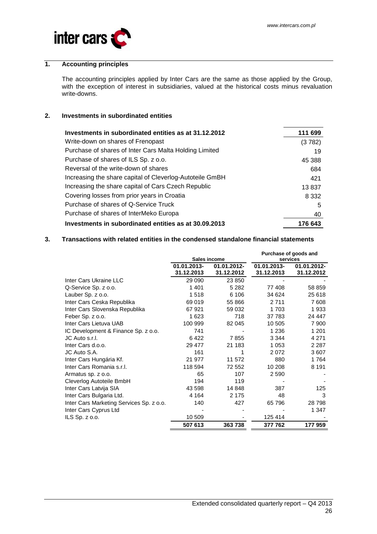

## **1. Accounting principles**

The accounting principles applied by Inter Cars are the same as those applied by the Group, with the exception of interest in subsidiaries, valued at the historical costs minus revaluation write-downs.

## **2. Investments in subordinated entities**

| Investments in subordinated entities as at 31.12.2012    | 111 699 |
|----------------------------------------------------------|---------|
| Write-down on shares of Frenopast                        | (3782)  |
| Purchase of shares of Inter Cars Malta Holding Limited   | 19      |
| Purchase of shares of ILS Sp. z o.o.                     | 45 388  |
| Reversal of the write-down of shares                     | 684     |
| Increasing the share capital of Cleverlog-Autoteile GmBH | 421     |
| Increasing the share capital of Cars Czech Republic      | 13837   |
| Covering losses from prior years in Croatia              | 8 3 3 2 |
| Purchase of shares of Q-Service Truck                    | 5       |
| Purchase of shares of InterMeko Europa                   | 40      |
| Investments in subordinated entities as at 30.09.2013    | 176 643 |

## **3. Transactions with related entities in the condensed standalone financial statements**

|                                          | Sales income              |                           | Purchase of goods and<br>services |                           |  |
|------------------------------------------|---------------------------|---------------------------|-----------------------------------|---------------------------|--|
|                                          | 01.01.2013-<br>31.12.2013 | 01.01.2012-<br>31.12.2012 | 01.01.2013-<br>31.12.2013         | 01.01.2012-<br>31.12.2012 |  |
| Inter Cars Ukraine LLC                   | 29 090                    | 23 850                    |                                   |                           |  |
| Q-Service Sp. z o.o.                     | 1401                      | 5 2 8 2                   | 77 408                            | 58 859                    |  |
| Lauber Sp. z o.o.                        | 1518                      | 6 10 6                    | 34 624                            | 25 618                    |  |
| Inter Cars Ceska Republika               | 69 019                    | 55 866                    | 2 7 1 1                           | 7608                      |  |
| Inter Cars Slovenska Republika           | 67921                     | 59 032                    | 1 703                             | 1933                      |  |
| Feber Sp. z o.o.                         | 1623                      | 718                       | 37 783                            | 24 447                    |  |
| Inter Cars Lietuva UAB                   | 100 999                   | 82 045                    | 10 505                            | 7 900                     |  |
| IC Development & Finance Sp. z o.o.      | 741                       |                           | 1 2 3 6                           | 1 201                     |  |
| JC Auto s.r.l.                           | 6422                      | 7855                      | 3 3 4 4                           | 4 2 7 1                   |  |
| Inter Cars d.o.o.                        | 29 477                    | 21 183                    | 1 0 5 3                           | 2 2 8 7                   |  |
| JC Auto S.A.                             | 161                       | 1                         | 2072                              | 3607                      |  |
| Inter Cars Hungária Kf.                  | 21 977                    | 11 572                    | 880                               | 1764                      |  |
| Inter Cars Romania s.r.l.                | 118 594                   | 72 552                    | 10 208                            | 8 1 9 1                   |  |
| Armatus sp. z o.o.                       | 65                        | 107                       | 2 5 9 0                           |                           |  |
| Cleverlog Autoteile BmbH                 | 194                       | 119                       |                                   |                           |  |
| Inter Cars Latvija SIA                   | 43 598                    | 14 848                    | 387                               | 125                       |  |
| Inter Cars Bulgaria Ltd.                 | 4 1 6 4                   | 2 1 7 5                   | 48                                | 3                         |  |
| Inter Cars Marketing Services Sp. z o.o. | 140                       | 427                       | 65 796                            | 28798                     |  |
| Inter Cars Cyprus Ltd                    |                           |                           |                                   | 1 347                     |  |
| $ILS$ $Sp. z$ $o.o.$                     | 10 509                    |                           | 125 414                           |                           |  |
|                                          | 507 613                   | 363738                    | 377 762                           | 177959                    |  |